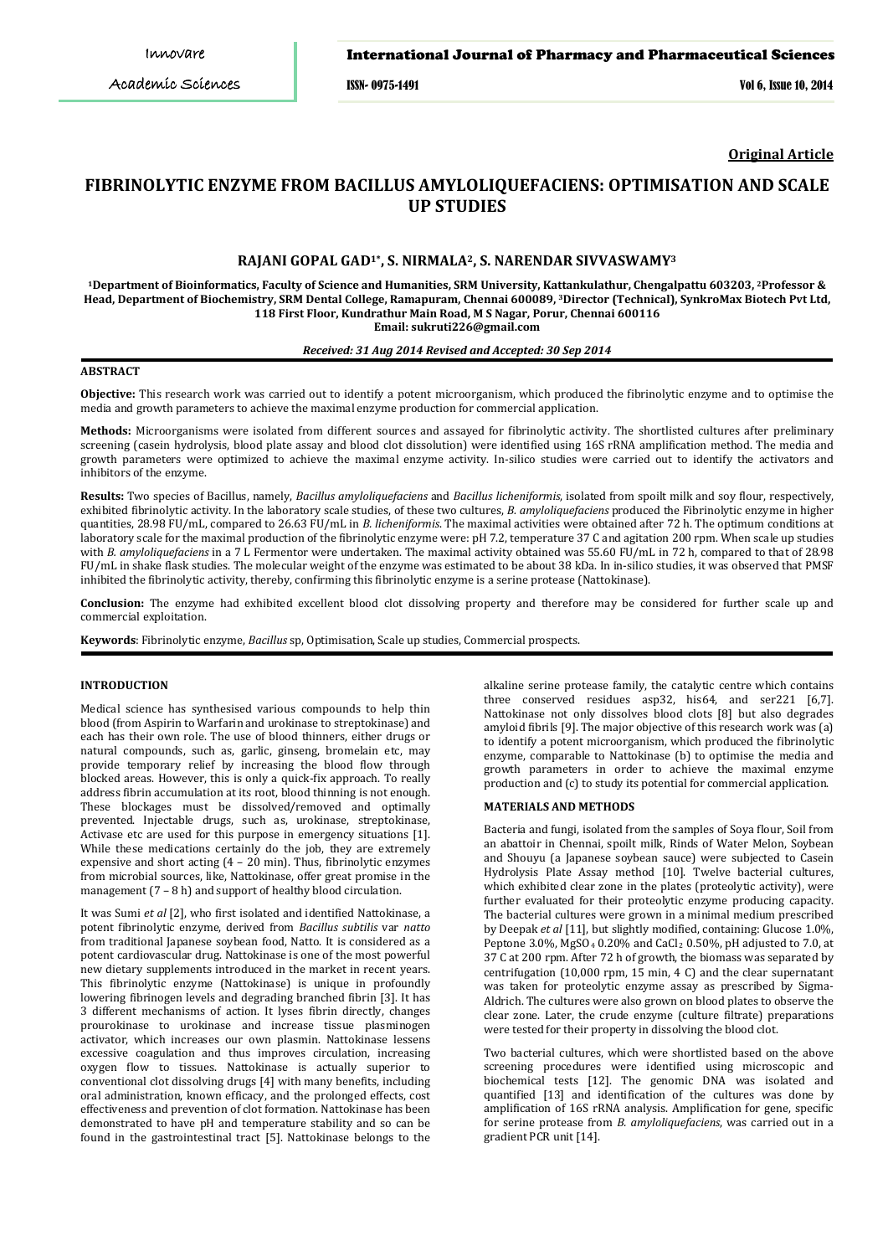## International Journal of Pharmacy and Pharmaceutical Sciences

ISSN- 0975-1491 Vol 6, Issue 10, 2014

**Original Article**

# **FIBRINOLYTIC ENZYME FROM BACILLUS AMYLOLIQUEFACIENS: OPTIMISATION AND SCALE UP STUDIES**

# **RAJANI GOPAL GAD1\*, S. NIRMALA2, S. NARENDAR SIVVASWAMY<sup>3</sup>**

**<sup>1</sup>Department of Bioinformatics, Faculty of Science and Humanities, SRM University, Kattankulathur, Chengalpattu 603203, <sup>2</sup>Professor & Head, Department of Biochemistry, SRM Dental College, Ramapuram, Chennai 600089, <sup>3</sup>Director (Technical), SynkroMax Biotech Pvt Ltd, 118 First Floor, Kundrathur Main Road, M S Nagar, Porur, Chennai 600116 Email: sukruti226@gmail.com**

## *Received: 31 Aug 2014 Revised and Accepted: 30 Sep 2014*

### **ABSTRACT**

**Objective:** This research work was carried out to identify a potent microorganism, which produced the fibrinolytic enzyme and to optimise the media and growth parameters to achieve the maximal enzyme production for commercial application.

**Methods:** Microorganisms were isolated from different sources and assayed for fibrinolytic activity. The shortlisted cultures after preliminary screening (casein hydrolysis, blood plate assay and blood clot dissolution) were identified using 16S rRNA amplification method. The media and growth parameters were optimized to achieve the maximal enzyme activity. In-silico studies were carried out to identify the activators and inhibitors of the enzyme.

**Results:** Two species of Bacillus, namely, *Bacillus amyloliquefaciens* and *Bacillus licheniformis*, isolated from spoilt milk and soy flour, respectively, exhibited fibrinolytic activity. In the laboratory scale studies, of these two cultures, *B. amyloliquefaciens* produced the Fibrinolytic enzyme in higher quantities, 28.98 FU/mL, compared to 26.63 FU/mL in *B. licheniformis*. The maximal activities were obtained after 72 h. The optimum conditions at laboratory scale for the maximal production of the fibrinolytic enzyme were: pH 7.2, temperature 37 C and agitation 200 rpm. When scale up studies with *B. amyloliquefaciens* in a 7 L Fermentor were undertaken. The maximal activity obtained was 55.60 FU/mL in 72 h, compared to that of 28.98 FU/mL in shake flask studies. The molecular weight of the enzyme was estimated to be about 38 kDa. In in-silico studies, it was observed that PMSF inhibited the fibrinolytic activity, thereby, confirming this fibrinolytic enzyme is a serine protease (Nattokinase).

**Conclusion:** The enzyme had exhibited excellent blood clot dissolving property and therefore may be considered for further scale up and commercial exploitation.

**Keywords**: Fibrinolytic enzyme, *Bacillus* sp, Optimisation, Scale up studies, Commercial prospects.

### **INTRODUCTION**

Medical science has synthesised various compounds to help thin blood (from Aspirin to Warfarin and urokinase to streptokinase) and each has their own role. The use of blood thinners, either drugs or natural compounds, such as, garlic, ginseng, bromelain etc, may provide temporary relief by increasing the blood flow through blocked areas. However, this is only a quick-fix approach. To really address fibrin accumulation at its root, blood thinning is not enough. These blockages must be dissolved/removed and optimally prevented. Injectable drugs, such as, urokinase, streptokinase, Activase etc are used for this purpose in emergency situations [1]. While these medications certainly do the job, they are extremely expensive and short acting (4 – 20 min). Thus, fibrinolytic enzymes from microbial sources, like, Nattokinase, offer great promise in the management (7 – 8 h) and support of healthy blood circulation.

It was Sumi *et al* [2], who first isolated and identified Nattokinase, a potent fibrinolytic enzyme, derived from *Bacillus subtilis* var *natto* from traditional Japanese soybean food, Natto. It is considered as a potent cardiovascular drug. Nattokinase is one of the most powerful new dietary supplements introduced in the market in recent years. This fibrinolytic enzyme (Nattokinase) is unique in profoundly lowering fibrinogen levels and degrading branched fibrin [3]. It has 3 different mechanisms of action. It lyses fibrin directly, changes prourokinase to urokinase and increase tissue plasminogen activator, which increases our own plasmin. Nattokinase lessens excessive coagulation and thus improves circulation, increasing oxygen flow to tissues. Nattokinase is actually superior to conventional clot dissolving drugs [4] with many benefits, including oral administration, known efficacy, and the prolonged effects, cost effectiveness and prevention of clot formation. Nattokinase has been demonstrated to have pH and temperature stability and so can be found in the gastrointestinal tract [5]. Nattokinase belongs to the

alkaline serine protease family, the catalytic centre which contains three conserved residues asp32, his64, and ser221 [6,7]. Nattokinase not only dissolves blood clots [8] but also degrades amyloid fibrils [9]. The major objective of this research work was (a) to identify a potent microorganism, which produced the fibrinolytic enzyme, comparable to Nattokinase (b) to optimise the media and growth parameters in order to achieve the maximal enzyme production and (c) to study its potential for commercial application.

### **MATERIALS AND METHODS**

Bacteria and fungi, isolated from the samples of Soya flour, Soil from an abattoir in Chennai, spoilt milk, Rinds of Water Melon, Soybean and Shouyu (a Japanese soybean sauce) were subjected to Casein Hydrolysis Plate Assay method [10]. Twelve bacterial cultures, which exhibited clear zone in the plates (proteolytic activity), were further evaluated for their proteolytic enzyme producing capacity. The bacterial cultures were grown in a minimal medium prescribed by Deepak *et al* [11], but slightly modified, containing: Glucose 1.0%, Peptone 3.0%, MgSO4 0.20% and CaCl2 0.50%, pH adjusted to 7.0, at 37 C at 200 rpm. After 72 h of growth, the biomass was separated by centrifugation (10,000 rpm, 15 min, 4 C) and the clear supernatant was taken for proteolytic enzyme assay as prescribed by Sigma-Aldrich. The cultures were also grown on blood plates to observe the clear zone. Later, the crude enzyme (culture filtrate) preparations were tested for their property in dissolving the blood clot.

Two bacterial cultures, which were shortlisted based on the above screening procedures were identified using microscopic and biochemical tests [12]. The genomic DNA was isolated and quantified [13] and identification of the cultures was done by amplification of 16S rRNA analysis. Amplification for gene, specific for serine protease from *B. amyloliquefaciens*, was carried out in a gradient PCR unit [14].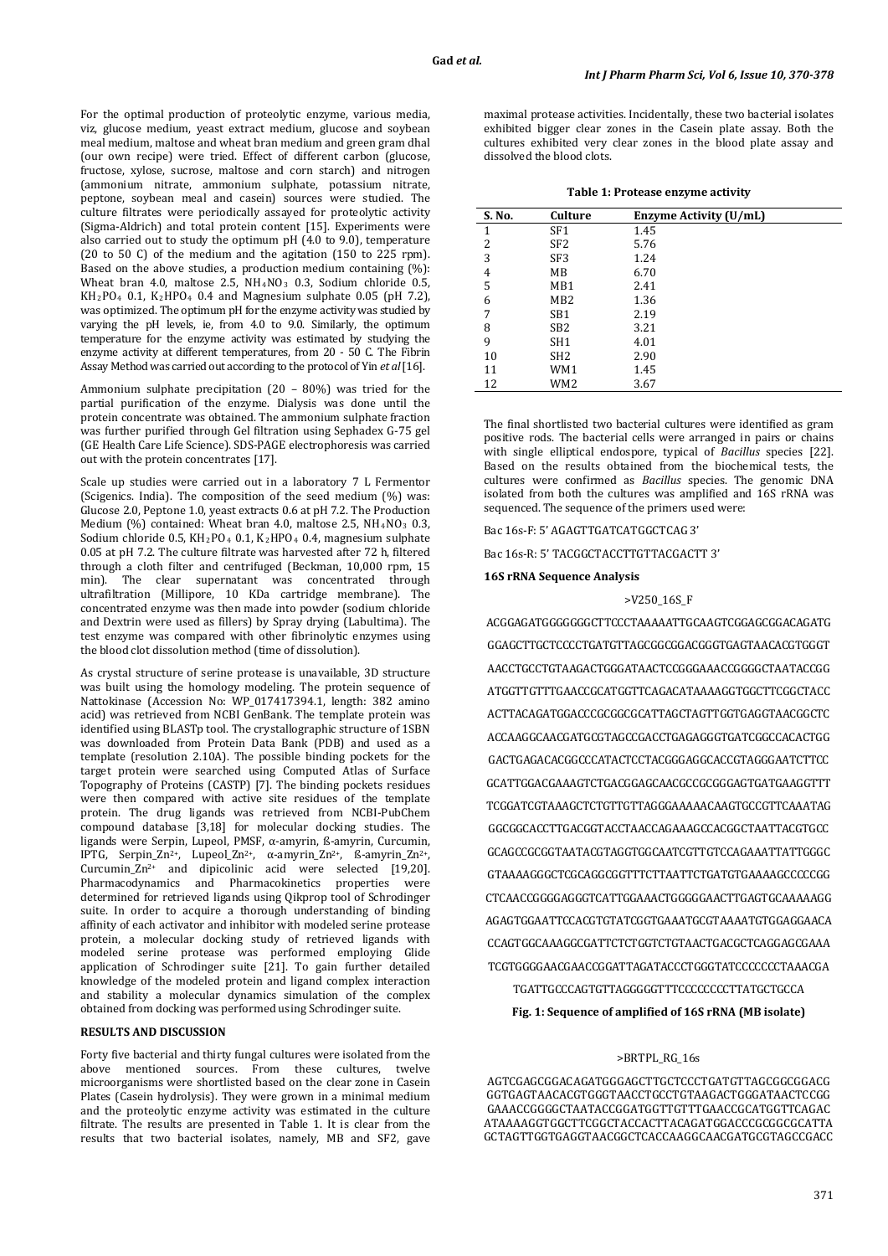For the optimal production of proteolytic enzyme, various media, viz, glucose medium, yeast extract medium, glucose and soybean meal medium, maltose and wheat bran medium and green gram dhal (our own recipe) were tried. Effect of different carbon (glucose, fructose, xylose, sucrose, maltose and corn starch) and nitrogen (ammonium nitrate, ammonium sulphate, potassium nitrate, peptone, soybean meal and casein) sources were studied. The culture filtrates were periodically assayed for proteolytic activity (Sigma-Aldrich) and total protein content [15]. Experiments were also carried out to study the optimum pH (4.0 to 9.0), temperature (20 to 50 C) of the medium and the agitation (150 to 225 rpm). Based on the above studies, a production medium containing  $(\%)$ : Wheat bran 4.0, maltose 2.5,  $NH_4NO_3$  0.3, Sodium chloride 0.5,  $KH_2PO_4$  0.1,  $K_2HPO_4$  0.4 and Magnesium suiphate 0.05 (pH 7.2), was optimized. The optimum pH for the enzyme activity was studied by varying the pH levels, ie, from 4.0 to 9.0. Similarly, the optimum temperature for the enzyme activity was estimated by studying the enzyme activity at different temperatures, from 20 - 50 C. The Fibrin Assay Method was carried out according to the protocol of Yin *et al* [16].

Ammonium sulphate precipitation (20 – 80%) was tried for the partial purification of the enzyme. Dialysis was done until the protein concentrate was obtained. The ammonium sulphate fraction was further purified through Gel filtration using Sephadex G-75 gel (GE Health Care Life Science). SDS-PAGE electrophoresis was carried out with the protein concentrates [17].

Scale up studies were carried out in a laboratory 7 L Fermentor (Scigenics. India). The composition of the seed medium (%) was: Glucose 2.0, Peptone 1.0, yeast extracts 0.6 at pH 7.2. The Production Medium  $(\%)$  contained: Wheat bran 4.0, maltose 2.5, NH<sub>4</sub>NO<sub>3</sub> 0.3, Sodium chloride 0.5, KH2PO4 0.1, K2HPO4 0.4, magnesium sulphate 0.05 at pH 7.2. The culture filtrate was harvested after 72 h, filtered through a cloth filter and centrifuged (Beckman, 10,000 rpm, 15 min). The clear supernatant was concentrated through ultrafiltration (Millipore, 10 KDa cartridge membrane). The concentrated enzyme was then made into powder (sodium chloride and Dextrin were used as fillers) by Spray drying (Labultima). The test enzyme was compared with other fibrinolytic enzymes using the blood clot dissolution method (time of dissolution).

As crystal structure of serine protease is unavailable, 3D structure was built using the homology modeling. The protein sequence of Nattokinase (Accession No: WP\_017417394.1, length: 382 amino acid) was retrieved from NCBI GenBank. The template protein was identified using BLASTp tool. The crystallographic structure of 1SBN was downloaded from Protein Data Bank (PDB) and used as a template (resolution 2.10A). The possible binding pockets for the target protein were searched using Computed Atlas of Surface target protein were searched using Computed Atlas of Surface Topography of Proteins (CASTP) [7]. The binding pockets residues were then compared with active site residues of the template protein. The drug ligands was retrieved from NCBI-PubChem compound database [3,18] for molecular docking studies. The ligands were Serpin, Lupeol, PMSF, α-amyrin, ß-amyrin, Curcumin, IPTG, Serpin\_Zn 2+, Lupeol\_Zn2+, α-amyrin\_Zn2+, ß-amyrin\_Zn2+, Curcumin\_Zn2+ and dipicolinic acid were selected [19,20]. Pharmacodynamics and Pharmacokinetics properties were determined for retrieved ligands using Qikprop tool of Schrodinger suite. In order to acquire a thorough understanding of binding affinity of each activator and inhibitor with modeled serine protease protein, a molecular docking study of retrieved ligands with modeled serine protease was performed employing Glide application of Schrodinger suite [21]. To gain further detailed knowledge of the modeled protein and ligand complex interaction and stability a molecular dynamics simulation of the complex obtained from docking was performed using Schrodinger suite.

#### **RESULTS AND DISCUSSION**

Forty five bacterial and thirty fungal cultures were isolated from the above mentioned sources. From these cultures, twelve microorganisms were shortlisted based on the clear zone in Casein Plates (Casein hydrolysis). They were grown in a minimal medium and the proteolytic enzyme activity was estimated in the culture filtrate. The results are presented in Table 1. It is clear from the results that two bacterial isolates, namely, MB and SF2, gave

maximal protease activities. Incidentally, these two bacterial isolates exhibited bigger clear zones in the Casein plate assay. Both the cultures exhibited very clear zones in the blood plate assay and dissolved the blood clots.

**Table 1: Protease enzyme activity**

| S. No. | Culture         | Enzyme Activity (U/mL) |  |
|--------|-----------------|------------------------|--|
| 1      | SF <sub>1</sub> | 1.45                   |  |
| 2      | SF <sub>2</sub> | 5.76                   |  |
| 3      | SF <sub>3</sub> | 1.24                   |  |
| 4      | MB              | 6.70                   |  |
| 5      | MB1             | 2.41                   |  |
| 6      | MB <sub>2</sub> | 1.36                   |  |
| 7      | SB <sub>1</sub> | 2.19                   |  |
| 8      | SB <sub>2</sub> | 3.21                   |  |
| 9      | SH <sub>1</sub> | 4.01                   |  |
| 10     | SH <sub>2</sub> | 2.90                   |  |
| 11     | WM1             | 1.45                   |  |
| 12     | WM <sub>2</sub> | 3.67                   |  |

The final shortlisted two bacterial cultures were identified as gram positive rods. The bacterial cells were arranged in pairs or chains with single elliptical endospore, typical of *Bacillus* species [22]. Based on the results obtained from the biochemical tests, the cultures were confirmed as *Bacillus* species. The genomic DNA isolated from both the cultures was amplified and 16S rRNA was sequenced. The sequence of the primers used were:

Bac 16s-F: 5' AGAGTTGATCATGGCTCAG 3'

Bac 16s-R: 5' TACGGCTACCTTGTTACGACTT 3'

## **16S rRNA Sequence Analysis**

#### >V250\_16S\_F

ACGGAGATGGGGGGGCTTCCCTAAAAATTGCAAGTCGGAGCGGACAGATG GGAGCTTGCTCCCCTGATGTTAGCGGCGGACGGGTGAGTAACACGTGGGT AACCTGCCTGTAAGACTGGGATAACTCCGGGAAACCGGGGCTAATACCGG ATGGTTGTTTGAACCGCATGGTTCAGACATAAAAGGTGGCTTCGGCTACC ACTTACAGATGGACCCGCGGCGCATTAGCTAGTTGGTGAGGTAACGGCTC ACCAAGGCAACGATGCGTAGCCGACCTGAGAGGGTGATCGGCCACACTGG GACTGAGACACGGCCCATACTCCTACGGGAGGCACCGTAGGGAATCTTCC GCATTGGACGAAAGTCTGACGGAGCAACGCCGCGGGAGTGATGAAGGTTT TCGGATCGTAAAGCTCTGTTGTTAGGGAAAAACAAGTGCCGTTCAAATAG GGCGGCACCTTGACGGTACCTAACCAGAAAGCCACGGCTAATTACGTGCC GCAGCCGCGGTAATACGTAGGTGGCAATCGTTGTCCAGAAATTATTGGGC GTAAAAGGGCTCGCAGGCGGTTTCTTAATTCTGATGTGAAAAGCCCCCGG CTCAACCGGGGAGGGTCATTGGAAACTGGGGGAACTTGAGTGCAAAAAGG AGAGTGGAATTCCACGTGTATCGGTGAAATGCGTAAAATGTGGAGGAACA CCAGTGGCAAAGGCGATTCTCTGGTCTGTAACTGACGCTCAGGAGCGAAA TCGTGGGGAACGAACCGGATTAGATACCCTGGGTATCCCCCCCTAAACGA

TGATTGCCCAGTGTTAGGGGGTTTCCCCCCCCTTATGCTGCCA

**Fig. 1: Sequence of amplified of 16S rRNA (MB isolate)**

### >BRTPL\_RG\_16s

AGTCGAGCGGACAGATGGGAGCTTGCTCCCTGATGTTAGCGGCGGACG GGTGAGTAACACGTGGGTAACCTGCCTGTAAGACTGGGATAACTCCGG GAAACCGGGGCTAATACCGGATGGTTGTTTGAACCGCATGGTTCAGAC ATAAAAGGTGGCTTCGGCTACCACTTACAGATGGACCCGCGGCGCATTA GCTAGTTGGTGAGGTAACGGCTCACCAAGGCAACGATGCGTAGCCGACC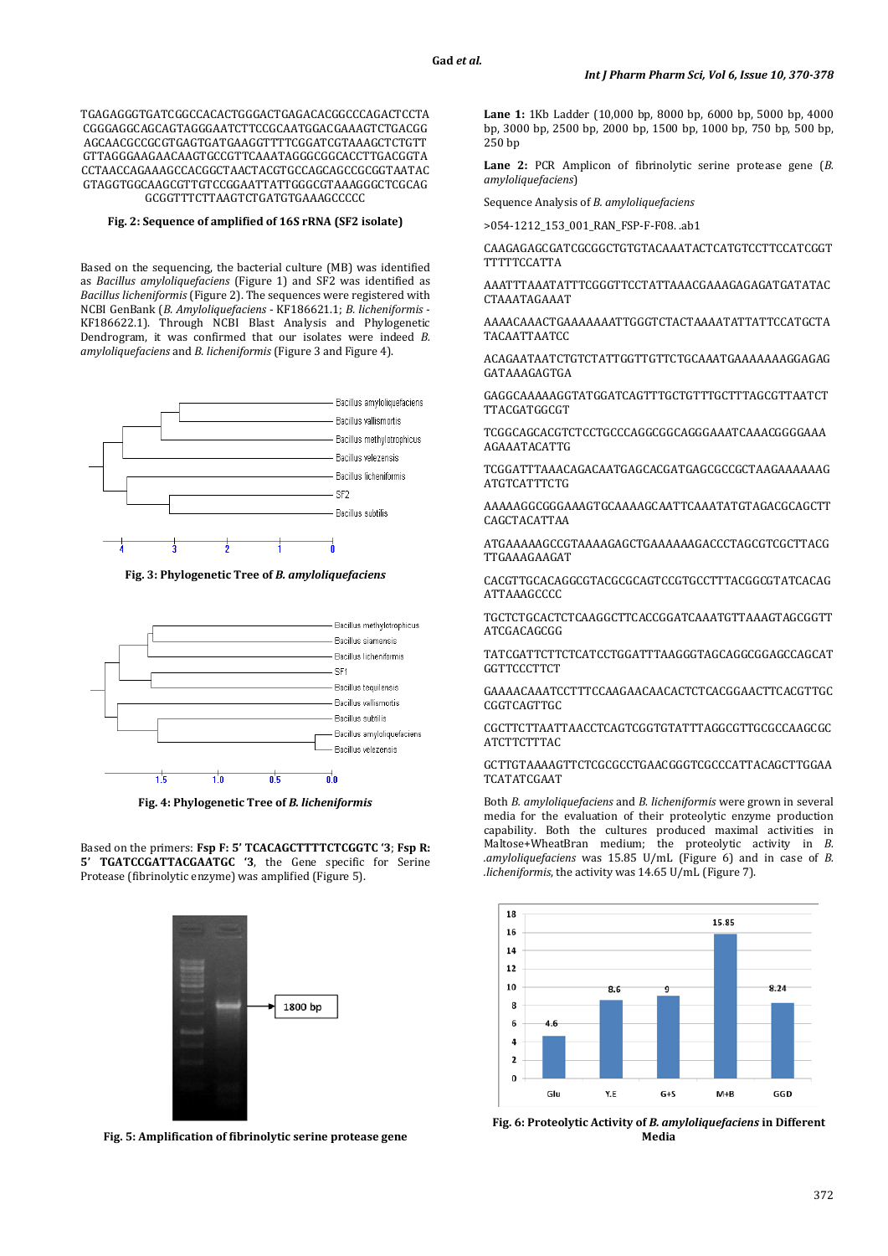TGAGAGGGTGATCGGCCACACTGGGACTGAGACACGGCCCAGACTCCTA CGGGAGGCAGCAGTAGGGAATCTTCCGCAATGGACGAAAGTCTGACGG AGCAACGCCGCGTGAGTGATGAAGGTTTTCGGATCGTAAAGCTCTGTT GTTAGGGAAGAACAAGTGCCGTTCAAATAGGGCGGCACCTTGACGGTA CCTAACCAGAAAGCCACGGCTAACTACGTGCCAGCAGCCGCGGTAATAC GTAGGTGGCAAGCGTTGTCCGGAATTATTGGGCGTAAAGGGCTCGCAG GCGGTTTCTTAAGTCTGATGTGAAAGCCCCC

## **Fig. 2: Sequence of amplified of 16S rRNA (SF2 isolate)**

Based on the sequencing, the bacterial culture (MB) was identified as *Bacillus amyloliquefaciens* (Figure 1) and SF2 was identified as *Bacillus licheniformis* (Figure 2). The sequences were registered with NCBI GenBank (*B. Amyloliquefaciens* - KF186621.1; *B. licheniformis* - KF186622.1). Through NCBI Blast Analysis and Phylogenetic Dendrogram, it was confirmed that our isolates were indeed *B. amyloliquefaciens* and *B. licheniformis* (Figure 3 and Figure 4).



**Fig. 3: Phylogenetic Tree of** *B. amyloliquefaciens*



**Fig. 4: Phylogenetic Tree of** *B. licheniformis*

Based on the primers: **Fsp F: 5' TCACAGCTTTTCTCGGTC '3**; **Fsp R: 5' TGATCCGATTACGAATGC '3**, the Gene specific for Serine Protease (fibrinolytic enzyme) was amplified (Figure 5).



**Fig. 5: Amplification of fibrinolytic serine protease gene**

**Lane 1:** 1Kb Ladder (10,000 bp, 8000 bp, 6000 bp, 5000 bp, 4000 bp, 3000 bp, 2500 bp, 2000 bp, 1500 bp, 1000 bp, 750 bp, 500 bp, 250 bp

**Lane 2:** PCR Amplicon of fibrinolytic serine protease gene (*B. amyloliquefaciens*)

Sequence Analysis of *B. amyloliquefaciens*

>054-1212\_153\_001\_RAN\_FSP-F-F08. .ab1

CAAGAGAGCGATCGCGGCTGTGTACAAATACTCATGTCCTTCCATCGGT TTTTTCCATTA

AAATTTAAATATTTCGGGTTCCTATTAAACGAAAGAGAGATGATATAC CTAAATAGAAAT

AAAACAAACTGAAAAAAATTGGGTCTACTAAAATATTATTCCATGCTA TACAATTAATCC

ACAGAATAATCTGTCTATTGGTTGTTCTGCAAATGAAAAAAAGGAGAG GATAAAGAGTGA

GAGGCAAAAAGGTATGGATCAGTTTGCTGTTTGCTTTAGCGTTAATCT TTACGATGGCGT

TCGGCAGCACGTCTCCTGCCCAGGCGGCAGGGAAATCAAACGGGGAAA AGAAATACATTG

TCGGATTTAAACAGACAATGAGCACGATGAGCGCCGCTAAGAAAAAAG ATGTCATTTCTG

AAAAAGGCGGGAAAGTGCAAAAGCAATTCAAATATGTAGACGCAGCTT CAGCTACATTAA

ATGAAAAAGCCGTAAAAGAGCTGAAAAAAGACCCTAGCGTCGCTTACG TTGAAAGAAGAT

CACGTTGCACAGGCGTACGCGCAGTCCGTGCCTTTACGGCGTATCACAG ATTAAAGCCCC

TGCTCTGCACTCTCAAGGCTTCACCGGATCAAATGTTAAAGTAGCGGTT ATCGACAGCGG

TATCGATTCTTCTCATCCTGGATTTAAGGGTAGCAGGCGGAGCCAGCAT GGTTCCCTTCT

GAAAACAAATCCTTTCCAAGAACAACACTCTCACGGAACTTCACGTTGC **CGGTCAGTTGC** 

CGCTTCTTAATTAACCTCAGTCGGTGTATTTAGGCGTTGCGCCAAGCGC **ATCTTCTTTAC** 

GCTTGTAAAAGTTCTCGCGCCTGAACGGGTCGCCCATTACAGCTTGGAA TCATATCGAAT

Both *B. amyloliquefaciens* and *B. licheniformis* were grown in several media for the evaluation of their proteolytic enzyme production capability. Both the cultures produced maximal activities in Maltose+WheatBran medium; the proteolytic activity in *B. .amyloliquefaciens* was 15.85 U/mL (Figure 6) and in case of *B. .licheniformis*, the activity was 14.65 U/mL (Figure 7).



**Fig. 6: Proteolytic Activity of** *B. amyloliquefaciens* **in Different Media**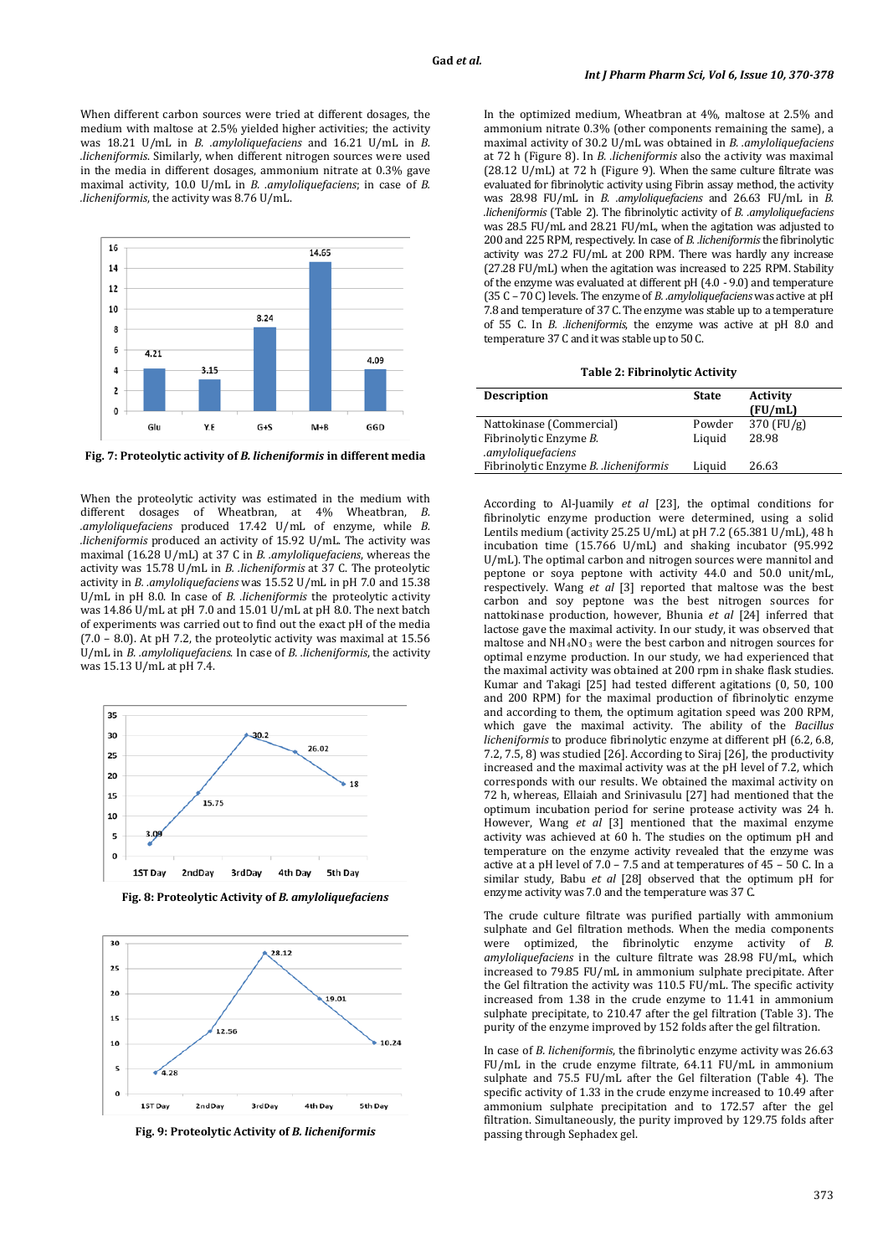When different carbon sources were tried at different dosages, the medium with maltose at 2.5% yielded higher activities; the activity was 18.21 U/mL in *B. .amyloliquefaciens* and 16.21 U/mL in *B. .licheniformis*. Similarly, when different nitrogen sources were used in the media in different dosages, ammonium nitrate at 0.3% gave maximal activity, 10.0 U/mL in *B. .amyloliquefaciens*; in case of *B. .licheniformis*, the activity was 8.76 U/mL.



**Fig. 7: Proteolytic activity of** *B. licheniformis* **in different media**

When the proteolytic activity was estimated in the medium with different dosages of Wheatbran, at 4% Wheatbran, *B. .amyloliquefaciens* produced 17.42 U/mL of enzyme, while *B. .licheniformis* produced an activity of 15.92 U/mL. The activity was maximal (16.28 U/mL) at 37 C in *B. .amyloliquefaciens*, whereas the activity was 15.78 U/mL in *B. .licheniformis* at 37 C. The proteolytic activity in *B. .amyloliquefaciens* was 15.52 U/mL in pH 7.0 and 15.38 U/mL in pH 8.0. In case of *B. .licheniformis* the proteolytic activity was 14.86 U/mL at pH 7.0 and 15.01 U/mL at pH 8.0. The next batch of experiments was carried out to find out the exact pH of the media (7.0 – 8.0). At pH 7.2, the proteolytic activity was maximal at 15.56 U/mL in *B. .amyloliquefaciens*. In case of *B. .licheniformis*, the activity was 15.13 U/mL at pH 7.4.



**Fig. 8: Proteolytic Activity of** *B. amyloliquefaciens*



**Fig. 9: Proteolytic Activity of** *B. licheniformis*

In the optimized medium, Wheatbran at 4%, maltose at 2.5% and ammonium nitrate 0.3% (other components remaining the same), a maximal activity of 30.2 U/mL was obtained in *B. .amyloliquefaciens* at 72 h (Figure 8). In *B. .licheniformis* also the activity was maximal (28.12 U/mL) at 72 h (Figure 9). When the same culture filtrate was evaluated for fibrinolytic activity using Fibrin assay method, the activity was 28.98 FU/mL in *B. .amyloliquefaciens* and 26.63 FU/mL in *B. .licheniformis* (Table 2). The fibrinolytic activity of *B. .amyloliquefaciens* was 28.5 FU/mL and 28.21 FU/mL, when the agitation was adjusted to 200 and 225 RPM, respectively. In case of *B. .licheniformis*the fibrinolytic activity was 27.2 FU/mL at 200 RPM. There was hardly any increase (27.28 FU/mL) when the agitation was increased to 225 RPM. Stability of the enzyme was evaluated at different pH (4.0 - 9.0) and temperature (35 C – 70 C) levels. The enzyme of *B. .amyloliquefaciens* was active at pH 7.8 and temperature of 37 C. The enzyme was stable up to a temperature of 55 C. In *B. .licheniformis*, the enzyme was active at pH 8.0 and temperature 37 C and it was stable up to 50 C.

**Table 2: Fibrinolytic Activity**

| <b>Description</b>                           | <b>State</b> | <b>Activity</b><br>(FU/mL) |
|----------------------------------------------|--------------|----------------------------|
| Nattokinase (Commercial)                     | Powder       | $370$ (FU/g)               |
| Fibrinolytic Enzyme B.<br>.amyloliquefaciens | Liquid       | 28.98                      |
| Fibrinolytic Enzyme B. .licheniformis        | Liquid       | 26.63                      |

According to Al-Juamily *et al* [23], the optimal conditions for fibrinolytic enzyme production were determined, using a solid Lentils medium (activity 25.25 U/mL) at pH 7.2 (65.381 U/mL), 48 h incubation time (15.766 U/mL) and shaking incubator (95.992 U/mL). The optimal carbon and nitrogen sources were mannitol and peptone or soya peptone with activity 44.0 and 50.0 unit/mL, respectively. Wang *et al* [3] reported that maltose was the best carbon and soy peptone was the best nitrogen sources for nattokinase production, however, Bhunia *et al* [24] inferred that lactose gave the maximal activity. In our study, it was observed that maltose and NH4NO3 were the best carbon and nitrogen sources for optimal enzyme production. In our study, we had experienced that the maximal activity was obtained at 200 rpm in shake flask studies. Kumar and Takagi [25] had tested different agitations (0, 50, 100 and 200 RPM) for the maximal production of fibrinolytic enzyme and according to them, the optimum agitation speed was 200 RPM, which gave the maximal activity. The ability of the *Bacillus licheniformis* to produce fibrinolytic enzyme at different pH (6.2, 6.8, 7.2, 7.5, 8) was studied [26]. According to Siraj [26], the productivity increased and the maximal activity was at the pH level of 7.2, which corresponds with our results. We obtained the maximal activity on 72 h, whereas, Ellaiah and Srinivasulu [27] had mentioned that the optimum incubation period for serine protease activity was 24 h. However, Wang *et al* [3] mentioned that the maximal enzyme activity was achieved at 60 h. The studies on the optimum pH and temperature on the enzyme activity revealed that the enzyme was active at a pH level of 7.0 – 7.5 and at temperatures of 45 – 50 C. In a similar study, Babu *et al* [28] observed that the optimum pH for enzyme activity was 7.0 and the temperature was 37 C.

The crude culture filtrate was purified partially with ammonium sulphate and Gel filtration methods. When the media components were optimized, the fibrinolytic enzyme activity of *B. amyloliquefaciens* in the culture filtrate was 28.98 FU/mL, which increased to 79.85 FU/mL in ammonium sulphate precipitate. After the Gel filtration the activity was 110.5 FU/mL. The specific activity increased from 1.38 in the crude enzyme to 11.41 in ammonium sulphate precipitate, to 210.47 after the gel filtration (Table 3). The purity of the enzyme improved by 152 folds after the gel filtration.

In case of *B. licheniformis*, the fibrinolytic enzyme activity was 26.63 FU/mL in the crude enzyme filtrate, 64.11 FU/mL in ammonium sulphate and 75.5 FU/mL after the Gel filteration (Table 4). The specific activity of 1.33 in the crude enzyme increased to 10.49 after ammonium sulphate precipitation and to 172.57 after the gel filtration. Simultaneously, the purity improved by 129.75 folds after passing through Sephadex gel.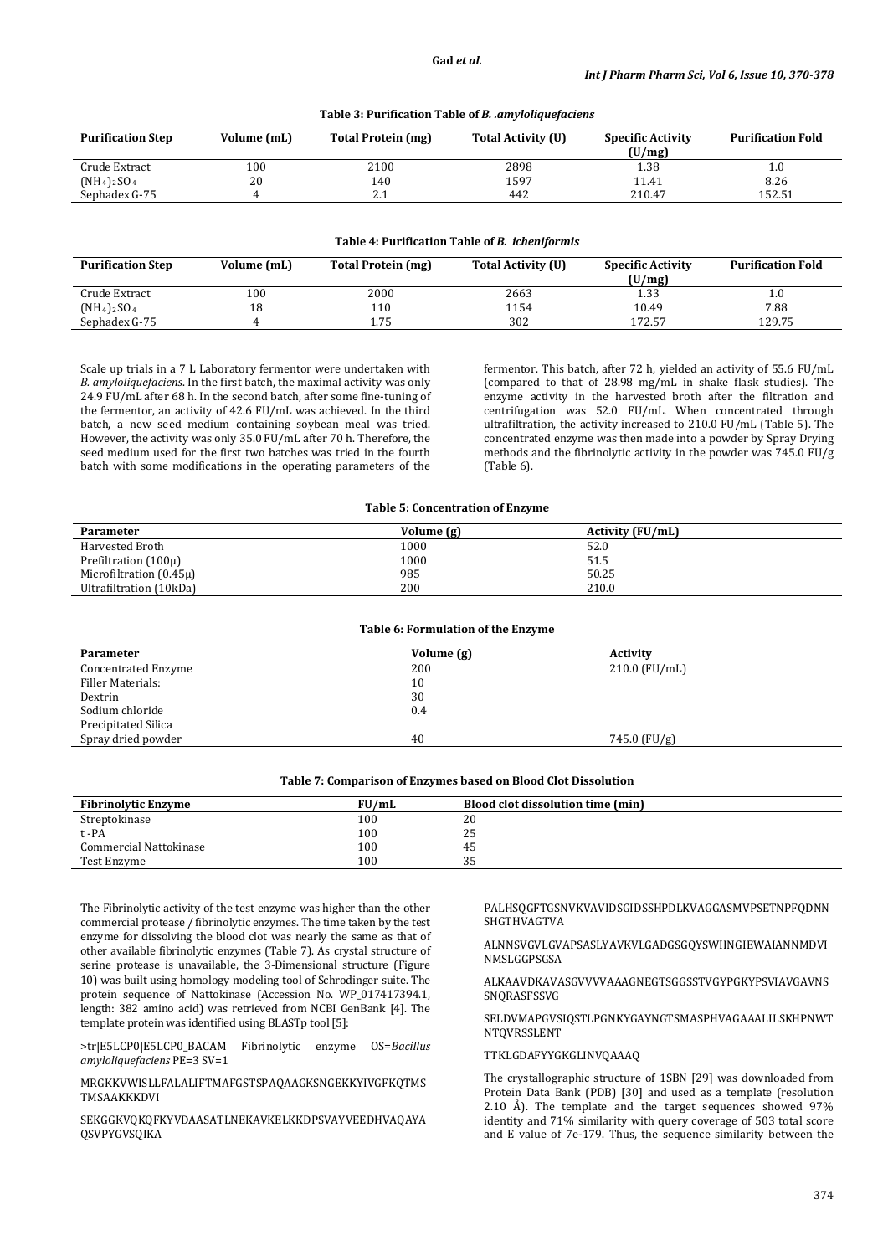| <b>Purification Step</b> | Volume (mL) | Total Protein (mg) | <b>Total Activity (U)</b> | <b>Specific Activity</b><br>(U/mg) | <b>Purification Fold</b> |
|--------------------------|-------------|--------------------|---------------------------|------------------------------------|--------------------------|
| Crude Extract            | 100         | 2100               | 2898                      | 1.38                               | 1.0                      |
| $(NH_4)_2SO_4$           | 20          | 140                | 1597                      | 11.41                              | 8.26                     |
| Sephadex G-75            |             | 4.1                | 442                       | 210.47                             | 152.51                   |

# **Table 3: Purification Table of** *B. .amyloliquefaciens*

### **Table 4: Purification Table of** *B. icheniformis*

| <b>Purification Step</b> | Volume (mL) | Total Protein (mg) | Total Activity (U) | <b>Specific Activity</b><br>(U/mg) | <b>Purification Fold</b> |
|--------------------------|-------------|--------------------|--------------------|------------------------------------|--------------------------|
| Crude Extract            | 100         | 2000               | 2663               | 1.33                               | 1.0                      |
| $(NH_4)_2SO_4$           |             | 110                | 1154               | 10.49                              | 7.88                     |
| Sephadex G-75            |             | 1.75               | 302                | 172.57                             | 129.75                   |

Scale up trials in a 7 L Laboratory fermentor were undertaken with *B. amyloliquefaciens*. In the first batch, the maximal activity was only 24.9 FU/mL after 68 h. In the second batch, after some fine-tuning of the fermentor, an activity of 42.6 FU/mL was achieved. In the third batch, a new seed medium containing soybean meal was tried. However, the activity was only 35.0 FU/mL after 70 h. Therefore, the seed medium used for the first two batches was tried in the fourth batch with some modifications in the operating parameters of the

fermentor. This batch, after 72 h, yielded an activity of 55.6 FU/mL (compared to that of 28.98 mg/mL in shake flask studies). The enzyme activity in the harvested broth after the filtration and centrifugation was 52.0 FU/mL. When concentrated through ultrafiltration, the activity increased to 210.0 FU/mL (Table 5). The concentrated enzyme was then made into a powder by Spray Drying methods and the fibrinolytic activity in the powder was 745.0 FU/g (Table 6).

### **Table 5: Concentration of Enzyme**

| <b>Parameter</b>            | Volume (g) | <b>Activity (FU/mL)</b> |
|-----------------------------|------------|-------------------------|
| Harvested Broth             | 1000       | 52.0                    |
| Prefiltration $(100\mu)$    | 1000       | 51.5                    |
| Microfiltration $(0.45\mu)$ | 985        | 50.25                   |
| Ultrafiltration (10kDa)     | 200        | 210.0                   |

| Table 6: Formulation of the Enzyme |            |                 |  |  |
|------------------------------------|------------|-----------------|--|--|
| <b>Parameter</b>                   | Volume (g) | Activity        |  |  |
| Concentrated Enzyme                | 200        | $210.0$ (FU/mL) |  |  |
| Filler Materials:                  | 10         |                 |  |  |
| Dextrin                            | 30         |                 |  |  |
| Sodium chloride                    | 0.4        |                 |  |  |
| Precipitated Silica                |            |                 |  |  |
| Spray dried powder                 | 40         | $745.0$ (FU/g)  |  |  |
|                                    |            |                 |  |  |

| <b>Fibrinolytic Enzyme</b> | FU/mL   | <b>Blood clot dissolution time (min)</b> |
|----------------------------|---------|------------------------------------------|
| Streptokinase              | $100\,$ | 20                                       |
| t -PA                      | 100     | 25                                       |
| Commercial Nattokinase     | 100     | 45                                       |
| Test Enzyme                | 100     | つに<br>ັບ                                 |

**Table 7: Comparison of Enzymes based on Blood Clot Dissolution**

The Fibrinolytic activity of the test enzyme was higher than the other commercial protease / fibrinolytic enzymes. The time taken by the test enzyme for dissolving the blood clot was nearly the same as that of other available fibrinolytic enzymes (Table 7). As crystal structure of serine protease is unavailable, the 3-Dimensional structure (Figure 10) was built using homology modeling tool of Schrodinger suite. The protein sequence of Nattokinase (Accession No. WP\_017417394.1, length: 382 amino acid) was retrieved from NCBI GenBank [4]. The template protein was identified using BLASTp tool [5]:

>tr|E5LCP0|E5LCP0\_BACAM Fibrinolytic enzyme OS=*Bacillus amyloliquefaciens* PE=3 SV=1

MRGKKVWISLLFALALIFTMAFGSTSPAQAAGKSNGEKKYIVGFKQTMS TMSAAKKKDVI

SEKGGKVQKQFKYVDAASATLNEKAVKELKKDPSVAYVEEDHVAQAYA QSVPYGVSQIKA

PALHSQGFTGSNVKVAVIDSGIDSSHPDLKVAGGASMVPSETNPFQDNN SHGTHVAGTVA

### ALNNSVGVLGVAPSASLYAVKVLGADGSGQYSWIINGIEWAIANNMDVI **NMSLGGPSGSA**

### ALKAAVDKAVASGVVVVAAAGNEGTSGGSSTVGYPGKYPSVIAVGAVNS SNQRASFSSVG

# SELDVMAPGVSIQSTLPGNKYGAYNGTSMASPHVAGAAALILSKHPNWT NTQVRSSLENT

# TTKLGDAFYYGKGLINVQAAAQ

The crystallographic structure of 1SBN [29] was downloaded from Protein Data Bank (PDB) [30] and used as a template (resolution 2.10 Å). The template and the target sequences showed 97% identity and 71% similarity with query coverage of 503 total score and E value of 7e-179. Thus, the sequence similarity between the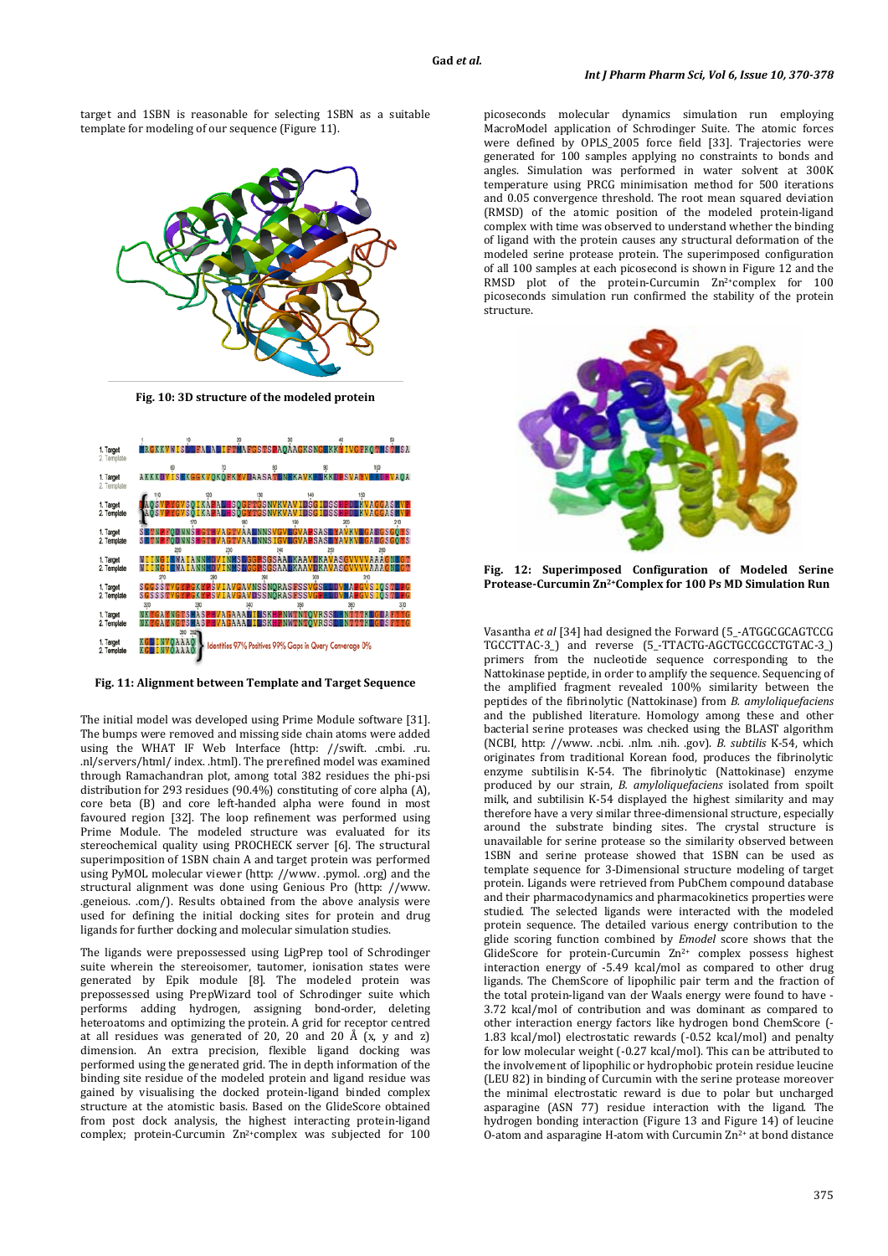target and 1SBN is reasonable for selecting 1SBN as a suitable template for modeling of our sequence (Figure 11).



**Fig. 10: 3D structure of the modeled protein**

| 1. Target<br>2. Template |                                                            |                                                         | <b>AFGSTSPAOAAGKSNGEK</b>                   |     | <b>MIVGFKOTMSTMSA</b> |
|--------------------------|------------------------------------------------------------|---------------------------------------------------------|---------------------------------------------|-----|-----------------------|
|                          |                                                            |                                                         |                                             |     | 100                   |
| 1. Target<br>2. Template | AKKKDVISEKGGKVQKQEKMVDAASATINEKAVKELKKDPSVAMVEEDHVAQA      |                                                         |                                             |     |                       |
|                          |                                                            |                                                         |                                             |     |                       |
| 1. Target                |                                                            | AOSVPYGVSOIKAPALHSOGFTGSNVKVAVIDSGIDSSHPDIKVAGGAS       |                                             |     |                       |
| 2. Template              | <b>AOSVPYGVSO IKAPALHSOGYTGSNVKVAVIDSGIDSSHPDLKVAGGASM</b> |                                                         |                                             |     |                       |
|                          |                                                            |                                                         |                                             | 200 | 210                   |
| 1. Target                | SETNP FODNNSHGTHVAGTVAAL NNSVGVLGVAPSASLYAVKVLGADGSGOYS    |                                                         |                                             |     |                       |
| 2. Template              |                                                            |                                                         | <b>GTVAALNNSIGVLGVAPSASLYAVKVLGADGSGOYS</b> |     |                       |
|                          |                                                            |                                                         | 240                                         |     |                       |
|                          |                                                            |                                                         | <b>NMSLGGPSGSAALKAAVDKAVASGVVV</b>          |     |                       |
| 1. Target                |                                                            |                                                         |                                             |     |                       |
| 2. Template              | <b>WAIAN</b>                                               |                                                         | INMSLGGESGSAALKAAVDKAVASGVVV                |     |                       |
|                          | 270                                                        | 280<br>290                                              |                                             |     |                       |
| 1. Target                | SGGSSTVGYPGKYPSVIAVGAVNSSNORASFSSVGSELDVMAPGVSIOSTLPG      |                                                         |                                             |     |                       |
| 2. Template              | SGSSSTVGYPGKYPSVIAVGAVDSSNORASFSSVGPELDVMAPGVSIOSTLPG      |                                                         |                                             |     |                       |
|                          | 320                                                        |                                                         |                                             |     | 370                   |
| 1. Target                | <b>NKYGAYNGTSMASPHVAGAAA</b>                               |                                                         | <b>ILSKHPNWTNTOVRSSLENTTTKLCDAFY</b>        |     |                       |
| 2. Template              | NKYCAYNGTSMASPHVAGAAALIUSKHPNWTNTÖVRSSLENTTTKUGDSFYYG      |                                                         |                                             |     |                       |
|                          |                                                            |                                                         |                                             |     |                       |
| 1. Target                |                                                            |                                                         |                                             |     |                       |
| 2. Template              | INVOAAAO                                                   | Identities 97% Positives 99% Gaps in Query Converage 0% |                                             |     |                       |
|                          |                                                            |                                                         |                                             |     |                       |

**Fig. 11: Alignment between Template and Target Sequence**

The initial model was developed using Prime Module software [31]. The bumps were removed and missing side chain atoms were added using the WHAT IF Web Interface (http: [//swift. .cmbi. .ru.](http://swift.cmbi.ru.nl/servers/html/%20index.html)  [.nl/servers/html/ index. .html\)](http://swift.cmbi.ru.nl/servers/html/%20index.html). The prerefined model was examined through Ramachandran plot, among total 382 residues the phi-psi distribution for 293 residues (90.4%) constituting of core alpha (A), core beta (B) and core left-handed alpha were found in most favoured region [32]. The loop refinement was performed using Prime Module. The modeled structure was evaluated for its stereochemical quality using PROCHECK server [6]. The structural superimposition of 1SBN chain A and target protein was performed using PyMOL molecular viewer (http: [//www. .pymol. .org\)](http://www.pymol.org/) and the structural alignment was done using Genious Pro (http: [//www.](http://www.geneious.com/)  [.geneious. .com/\)](http://www.geneious.com/). Results obtained from the above analysis were used for defining the initial docking sites for protein and drug ligands for further docking and molecular simulation studies.

The ligands were prepossessed using LigPrep tool of Schrodinger suite wherein the stereoisomer, tautomer, ionisation states were generated by Epik module [8]. The modeled protein was prepossessed using PrepWizard tool of Schrodinger suite which performs adding hydrogen, assigning bond-order, deleting heteroatoms and optimizing the protein. A grid for receptor centred at all residues was generated of 20, 20 and 20 Å  $(x, y, z)$ dimension. An extra precision, flexible ligand docking was performed using the generated grid. The in depth information of the binding site residue of the modeled protein and ligand residue was gained by visualising the docked protein-ligand binded complex structure at the atomistic basis. Based on the GlideScore obtained from post dock analysis, the highest interacting protein-ligand complex; protein-Curcumin Zn<sup>2+</sup>complex was subjected for 100

picoseconds molecular dynamics simulation run employing MacroModel application of Schrodinger Suite. The atomic forces were defined by OPLS\_2005 force field [33]. Trajectories were generated for 100 samples applying no constraints to bonds and angles. Simulation was performed in water solvent at 300K temperature using PRCG minimisation method for 500 iterations and 0.05 convergence threshold. The root mean squared deviation (RMSD) of the atomic position of the modeled protein-ligand complex with time was observed to understand whether the binding of ligand with the protein causes any structural deformation of the modeled serine protease protein. The superimposed configuration of all 100 samples at each picosecond is shown in Figure 12 and the RMSD plot of the protein-Curcumin Zn<sup>2+</sup>complex for 100 picoseconds simulation run confirmed the stability of the protein structure.



**Fig. 12: Superimposed Configuration of Modeled Serine Protease-Curcumin Zn2+Complex for 100 Ps MD Simulation Run**

Vasantha *et al* [34] had designed the Forward (5\_-ATGGCGCAGTCCG TGCCTTAC-3\_) and reverse (5\_-TTACTG-AGCTGCCGCCTGTAC-3\_) primers from the nucleotide sequence corresponding to the Nattokinase peptide, in order to amplify the sequence. Sequencing of the amplified fragment revealed 100% similarity between the peptides of the fibrinolytic (Nattokinase) from *B. amyloliquefaciens* and the published literature. Homology among these and other bacterial serine proteases was checked using the BLAST algorithm (NCBI, http: //www. .ncbi. .nlm. .nih. .gov). *B. subtilis* K-54, which originates from traditional Korean food, produces the fibrinolytic enzyme subtilisin K-54. The fibrinolytic (Nattokinase) enzyme produced by our strain, *B. amyloliquefaciens* isolated from spoilt milk, and subtilisin K-54 displayed the highest similarity and may therefore have a very similar three-dimensional structure, especially around the substrate binding sites. The crystal structure is unavailable for serine protease so the similarity observed between 1SBN and serine protease showed that 1SBN can be used as template sequence for 3-Dimensional structure modeling of target protein. Ligands were retrieved from PubChem compound database and their pharmacodynamics and pharmacokinetics properties were studied. The selected ligands were interacted with the modeled protein sequence. The detailed various energy contribution to the glide scoring function combined by *Emodel* score shows that the GlideScore for protein-Curcumin Zn2+ complex possess highest interaction energy of -5.49 kcal/mol as compared to other drug ligands. The ChemScore of lipophilic pair term and the fraction of the total protein-ligand van der Waals energy were found to have - 3.72 kcal/mol of contribution and was dominant as compared to other interaction energy factors like hydrogen bond ChemScore (- 1.83 kcal/mol) electrostatic rewards (-0.52 kcal/mol) and penalty for low molecular weight (-0.27 kcal/mol). This can be attributed to the involvement of lipophilic or hydrophobic protein residue leucine (LEU 82) in binding of Curcumin with the serine protease moreover the minimal electrostatic reward is due to polar but uncharged asparagine (ASN 77) residue interaction with the ligand. The hydrogen bonding interaction (Figure 13 and Figure 14) of leucine O-atom and asparagine H-atom with Curcumin  $\mathbf{Zn}^{2+}$  at bond distance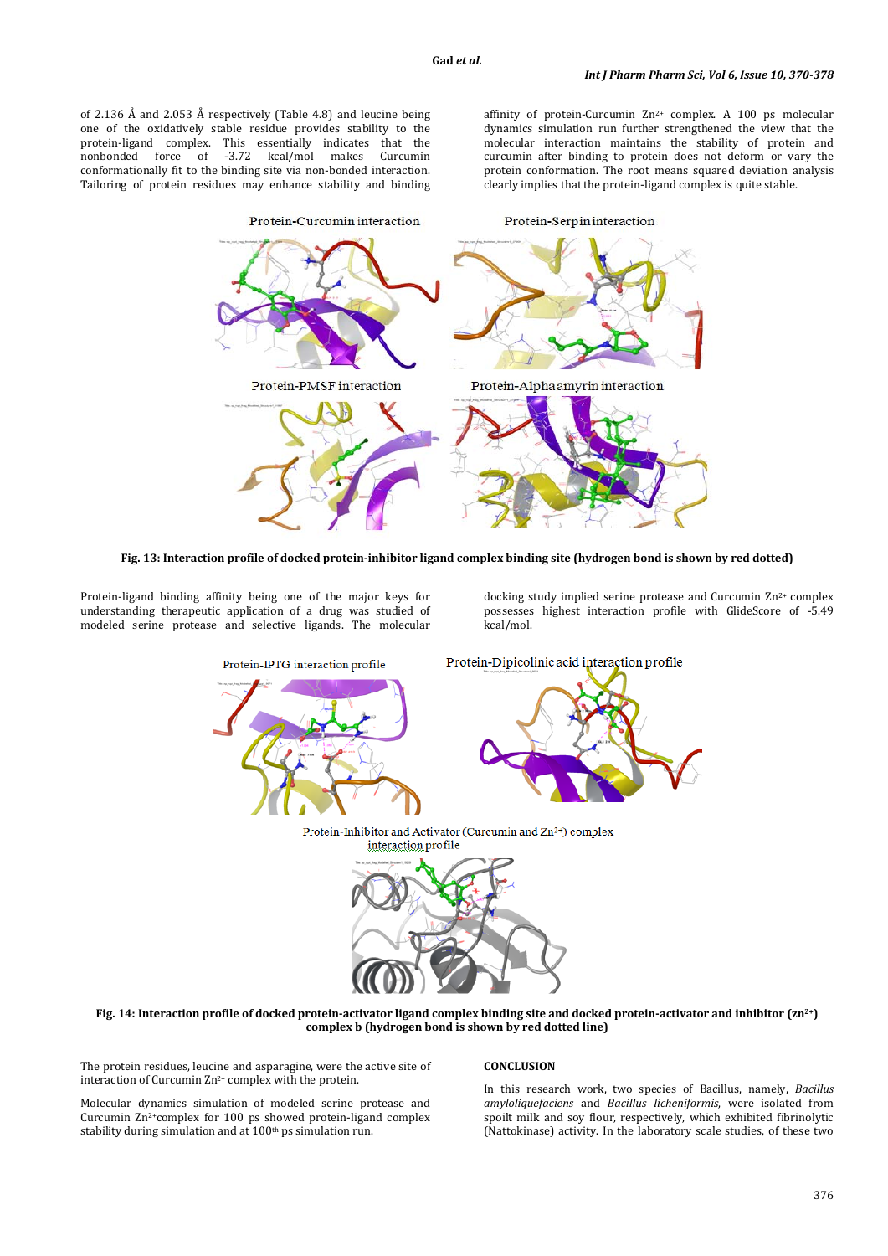of 2.136 Å and 2.053 Å respectively (Table 4.8) and leucine being one of the oxidatively stable residue provides stability to the protein-ligand complex. This essentially indicates that the nonbonded force of -3.72 kcal/mol makes Curcumin conformationally fit to the binding site via non-bonded interaction. Tailoring of protein residues may enhance stability and binding affinity of protein-Curcumin  $Zn^{2+}$  complex. A 100 ps molecular dynamics simulation run further strengthened the view that the molecular interaction maintains the stability of protein and curcumin after binding to protein does not deform or vary the protein conformation. The root means squared deviation analysis clearly implies that the protein-ligand complex is quite stable.





Protein-ligand binding affinity being one of the major keys for understanding therapeutic application of a drug was studied of modeled serine protease and selective ligands. The molecular

docking study implied serine protease and Curcumin  $Zn^{2+}$  complex possesses highest interaction profile with GlideScore of -5.49 kcal/mol.



**Fig. 14: Interaction profile of docked protein-activator ligand complex binding site and docked protein-activator and inhibitor (zn2+) complex b (hydrogen bond is shown by red dotted line)**

The protein residues, leucine and asparagine, were the active site of interaction of Curcumin Zn2+ complex with the protein.

Molecular dynamics simulation of modeled serine protease and Curcumin Zn 2+complex for 100 ps showed protein-ligand complex stability during simulation and at 100th ps simulation run.

## **CONCLUSION**

In this research work, two species of Bacillus, namely, *Bacillus amyloliquefaciens* and *Bacillus licheniformis*, were isolated from spoilt milk and soy flour, respectively, which exhibited fibrinolytic (Nattokinase) activity. In the laboratory scale studies, of these two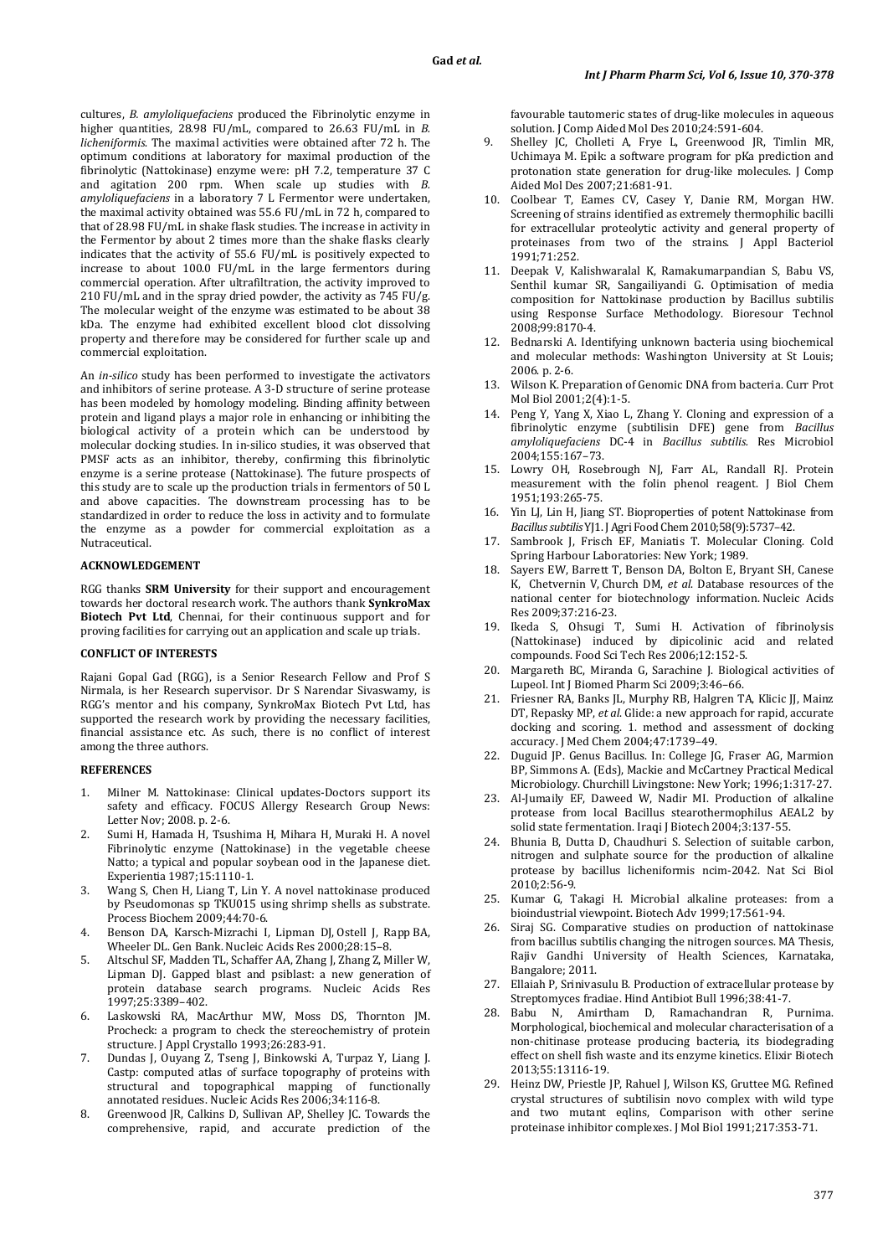cultures, *B. amyloliquefaciens* produced the Fibrinolytic enzyme in higher quantities, 28.98 FU/mL, compared to 26.63 FU/mL in *B. licheniformis*. The maximal activities were obtained after 72 h. The optimum conditions at laboratory for maximal production of the fibrinolytic (Nattokinase) enzyme were: pH 7.2, temperature 37 C and agitation 200 rpm. When scale up studies with *B. amyloliquefaciens* in a laboratory 7 L Fermentor were undertaken, the maximal activity obtained was 55.6 FU/mL in 72 h, compared to that of 28.98 FU/mL in shake flask studies. The increase in activity in the Fermentor by about 2 times more than the shake flasks clearly indicates that the activity of 55.6 FU/mL is positively expected to increase to about 100.0 FU/mL in the large fermentors during commercial operation. After ultrafiltration, the activity improved to 210 FU/mL and in the spray dried powder, the activity as 745 FU/g. The molecular weight of the enzyme was estimated to be about 38 kDa. The enzyme had exhibited excellent blood clot dissolving property and therefore may be considered for further scale up and commercial exploitation.

An *in-silico* study has been performed to investigate the activators and inhibitors of serine protease. A 3-D structure of serine protease has been modeled by homology modeling. Binding affinity between protein and ligand plays a major role in enhancing or inhibiting the biological activity of a protein which can be understood by molecular docking studies. In in-silico studies, it was observed that PMSF acts as an inhibitor, thereby, confirming this fibrinolytic enzyme is a serine protease (Nattokinase). The future prospects of this study are to scale up the production trials in fermentors of 50 L and above capacities. The downstream processing has to be standardized in order to reduce the loss in activity and to formulate the enzyme as a powder for commercial exploitation as a Nutraceutical.

# **ACKNOWLEDGEMENT**

RGG thanks **SRM University** for their support and encouragement towards her doctoral research work. The authors thank **SynkroMax Biotech Pvt Ltd**, Chennai, for their continuous support and for proving facilities for carrying out an application and scale up trials.

## **CONFLICT OF INTERESTS**

Rajani Gopal Gad (RGG), is a Senior Research Fellow and Prof S Nirmala, is her Research supervisor. Dr S Narendar Sivaswamy, is RGG's mentor and his company, SynkroMax Biotech Pvt Ltd, has supported the research work by providing the necessary facilities, financial assistance etc. As such, there is no conflict of interest among the three authors.

### **REFERENCES**

- 1. Milner M. Nattokinase: Clinical updates-Doctors support its safety and efficacy. FOCUS Allergy Research Group News: Letter Nov; 2008. p. 2-6.
- 2. Sumi H, Hamada H, Tsushima H, Mihara H, Muraki H. A novel Fibrinolytic enzyme (Nattokinase) in the vegetable cheese Natto; a typical and popular soybean ood in the Japanese diet. Experientia 1987;15:1110-1.
- 3. Wang S, Chen H, Liang T, Lin Y. A novel nattokinase produced by Pseudomonas sp TKU015 using shrimp shells as substrate. Process Biochem 2009;44:70-6.
- 4. [Benson](http://nar.oxfordjournals.org/search?author1=Dennis+A.+Benson&sortspec=date&submit=Submit) DA, [Karsch-Mizrachi](http://nar.oxfordjournals.org/search?author1=Ilene+Karsch-Mizrachi&sortspec=date&submit=Submit) I, [Lipman](http://nar.oxfordjournals.org/search?author1=David+J.+Lipman&sortspec=date&submit=Submit) DJ, [Ostell](http://nar.oxfordjournals.org/search?author1=James+Ostell&sortspec=date&submit=Submit) J, [Rapp](http://nar.oxfordjournals.org/search?author1=Barbara+A.+Rapp&sortspec=date&submit=Submit) BA, [Wheeler](http://nar.oxfordjournals.org/search?author1=David+L.+Wheeler&sortspec=date&submit=Submit) DL. Gen Bank. Nucleic Acids Res 2000;28: 15–8.
- 5. Altschul SF, Madden TL, Schaffer AA, Zhang J, Zhang Z, Miller W, Lipman DJ. Gapped blast and psiblast: a new generation of protein database search programs. Nucleic Acids Res 1997;25:3389–402.
- 6. Laskowski RA, MacArthur MW, Moss DS, Thornton JM. Procheck: a program to check the stereochemistry of protein structure. J Appl Crystallo 1993;26:283-91.
- 7. Dundas J, Ouyang Z, Tseng J, Binkowski A, Turpaz Y, Liang J. Castp: computed atlas of surface topography of proteins with structural and topographical mapping of functionally annotated residues. Nucleic Acids Res 2006;34:116-8.
- 8. Greenwood JR, Calkins D, Sullivan AP, Shelley JC. Towards the comprehensive, rapid, and accurate prediction of the

favourable tautomeric states of drug-like molecules in aqueous solution. J Comp Aided Mol Des [2010;24:591-604.](http://dx.doi.org/10.1007/s10822-010-9349-1)

- 9. Shelley JC, Cholleti A, Frye L, Greenwood JR, Timlin MR, Uchimaya M. Epik: a software program for pKa prediction and protonation state generation for drug-like molecules. J Comp Aided Mol Des 2007;21:681-91.
- 10. Coolbear T, Eames CV, Casey Y, Danie RM, Morgan HW. Screening of strains identified as extremely thermophilic bacilli for extracellular proteolytic activity and general property of proteinases from two of the strains. J Appl Bacteriol 1991;71:252.
- 11. Deepak V, Kalishwaralal K, Ramakumarpandian S, Babu VS, Senthil kumar SR, Sangailiyandi G. Optimisation of media composition for Nattokinase production by Bacillus subtilis using Response Surface Methodology. Bioresour Technol 2008;99:8170-4.
- 12. Bednarski A. Identifying unknown bacteria using biochemical and molecular methods: Washington University at St Louis; 2006. p. 2-6.
- 13. Wilson K. Preparation of Genomic DNA from bacteria. Curr Prot Mol Biol 2001;2(4):1-5.
- 14. Peng Y, Yang X, Xiao L, Zhang Y. Cloning and expression of a fibrinolytic enzyme (subtilisin DFE) gene from *Bacillus amyloliquefaciens* DC-4 in *Bacillus subtilis.* Res Microbiol 2004;155:167–73.
- 15. Lowry OH, Rosebrough NJ, Farr AL, Randall RJ. Protein measurement with the folin phenol reagent. J Biol Chem 1951;193:265-75.
- 16. Yin LJ, Lin H, Jiang ST. Bioproperties of potent Nattokinase from *Bacillus subtilis* YJ1. J Agri Food Chem 2010;58(9):5737–42.
- Sambrook J, Frisch EF, Maniatis T, Molecular Cloning. Cold Spring Harbour Laboratories: New York; 1989.
- 18. [Sayers](http://nar.oxfordjournals.org/search?author1=Eric+W.+Sayers&sortspec=date&submit=Submit) EW, [Barrett](http://nar.oxfordjournals.org/search?author1=Tanya+Barrett&sortspec=date&submit=Submit) T, [Benson](http://nar.oxfordjournals.org/search?author1=Dennis+A.+Benson&sortspec=date&submit=Submit) DA, [Bolton](http://nar.oxfordjournals.org/search?author1=Evan+Bolton&sortspec=date&submit=Submit) E, [Bryant](http://nar.oxfordjournals.org/search?author1=Stephen+H.+Bryant&sortspec=date&submit=Submit) SH, [Canese](http://nar.oxfordjournals.org/search?author1=Kathi+Canese&sortspec=date&submit=Submit) K, [Chetvernin](http://nar.oxfordjournals.org/search?author1=Vyacheslav+Chetvernin&sortspec=date&submit=Submit) V, [Church](http://nar.oxfordjournals.org/search?author1=Deanna+M.+Church&sortspec=date&submit=Submit) DM, *et al*. Database resources of the national center for biotechnology information. Nucleic Acids Res 2009;37:216-23.
- 19. Ikeda S, Ohsugi T, Sumi H. Activation of fibrinolysis (Nattokinase) induced by dipicolinic acid and related compounds. Food Sci Tech Res 2006;12:152-5.
- 20. Margareth BC, Miranda G, Sarachine J. Biological activities of Lupeol. Int J Biomed Pharm Sci 2009;3:46–66.
- 21. Friesner RA, Banks JL, Murphy RB, Halgren TA, Klicic JJ, Mainz DT, Repasky MP, *et al*. Glide: a new approach for rapid, accurate docking and scoring. 1. method and assessment of docking accuracy. J Med Chem [2004;47:1739–49.](http://pubs.acs.org/cgi-bin/abstract.cgi/jmcmar/2004/47/i07/abs/jm0306430.html)
- 22. Duguid JP. Genus Bacillus. In: College JG, Fraser AG, Marmion BP, Simmons A. (Eds), Mackie and McCartney Practical Medical Microbiology. Churchill Livingstone: New York; 1996;1:317-27.
- 23. Al-Jumaily EF, Daweed W, Nadir MI. Production of alkaline protease from local Bacillus stearothermophilus AEAL2 by solid state fermentation. Iraqi J Biotech 2004;3:137-55.
- 24. Bhunia B, Dutta D, Chaudhuri S. Selection of suitable carbon, nitrogen and sulphate source for the production of alkaline protease by bacillus licheniformis ncim-2042. Nat Sci Biol 2010;2:56-9.
- 25. Kumar G, Takagi H. Microbial alkaline proteases: from a bioindustrial viewpoint. Biotech Adv 1999;17:561-94.
- 26. Siraj SG. Comparative studies on production of nattokinase from bacillus subtilis changing the nitrogen sources. MA Thesis, Rajiv Gandhi University of Health Sciences, Karnataka, Bangalore; 2011.
- 27. Ellaiah P, Srinivasulu B. Production of extracellular protease by Streptomyces fradiae. Hind Antibiot Bull 1996;38:41-7.
- 28. Babu N, Amirtham D, Ramachandran R, Purnima. Morphological, biochemical and molecular characterisation of a non-chitinase protease producing bacteria, its biodegrading effect on shell fish waste and its enzyme kinetics. Elixir Biotech 2013;55:13116-19.
- 29. Heinz DW, Priestle JP, Rahuel J, Wilson KS, Gruttee MG. Refined crystal structures of subtilisin novo complex with wild type and two mutant eqlins, Comparison with other serine proteinase inhibitor complexes. J Mol Biol 1991;217:353-71.